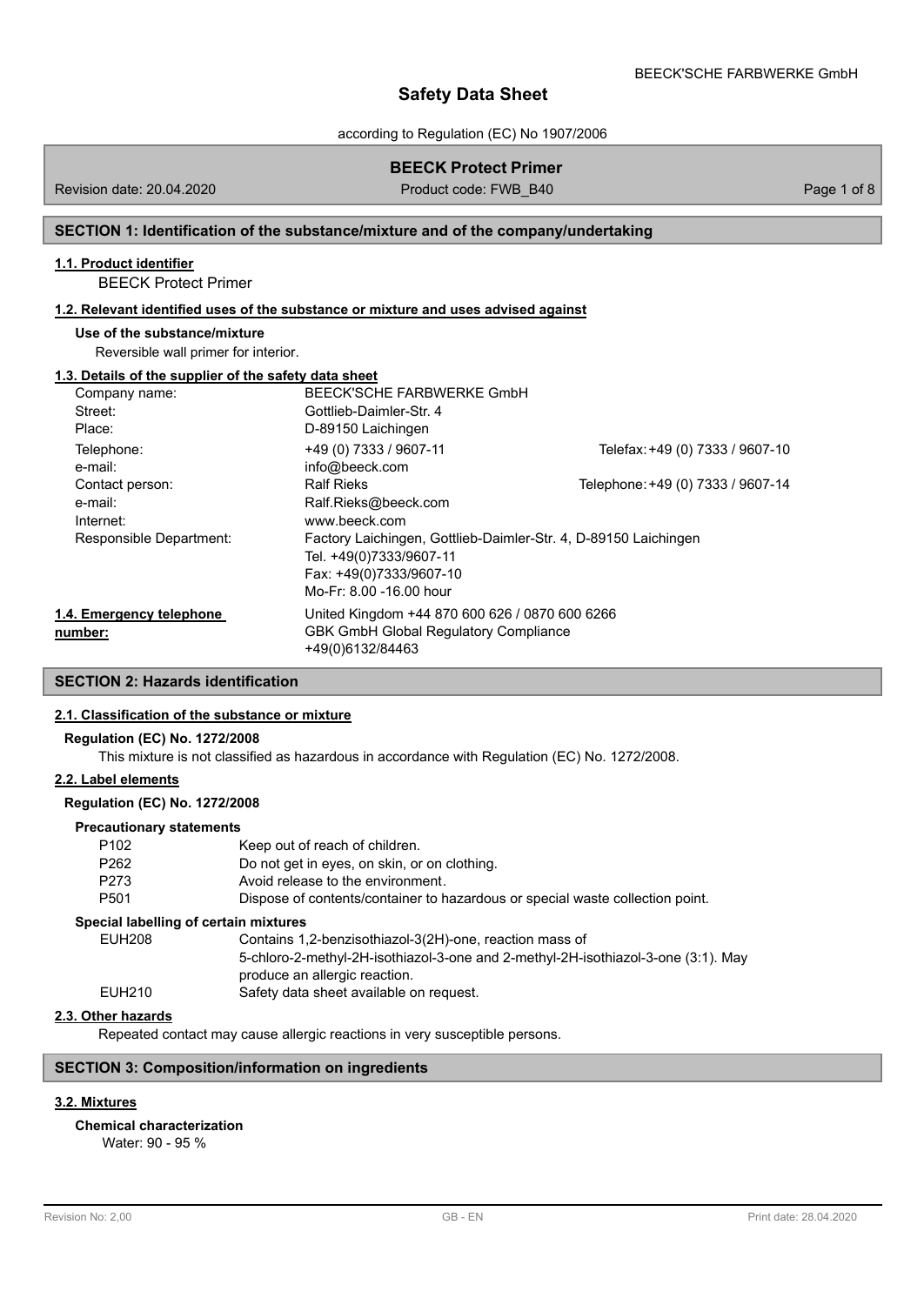according to Regulation (EC) No 1907/2006

# **BEECK Protect Primer**

Revision date: 20.04.2020

Product code: FWB\_B40 Page 1 of 8

## **SECTION 1: Identification of the substance/mixture and of the company/undertaking**

## **1.1. Product identifier**

BEECK Protect Primer

## **1.2. Relevant identified uses of the substance or mixture and uses advised against**

#### **Use of the substance/mixture**

Reversible wall primer for interior.

### **1.3. Details of the supplier of the safety data sheet**

| $\sim$ . Follows of the cupping of the cultury with chico |                                                                 |                                   |
|-----------------------------------------------------------|-----------------------------------------------------------------|-----------------------------------|
| Company name:                                             | BEECK'SCHE FARBWERKE GmbH                                       |                                   |
| Street:                                                   | Gottlieb-Daimler-Str. 4                                         |                                   |
| Place:                                                    | D-89150 Laichingen                                              |                                   |
| Telephone:                                                | +49 (0) 7333 / 9607-11                                          | Telefax: +49 (0) 7333 / 9607-10   |
| e-mail:                                                   | info@beeck.com                                                  |                                   |
| Contact person:                                           | <b>Ralf Rieks</b>                                               | Telephone: +49 (0) 7333 / 9607-14 |
| e-mail:                                                   | Ralf.Rieks@beeck.com                                            |                                   |
| Internet:                                                 | www.beeck.com                                                   |                                   |
| Responsible Department:                                   | Factory Laichingen, Gottlieb-Daimler-Str. 4, D-89150 Laichingen |                                   |
|                                                           | Tel. +49(0)7333/9607-11                                         |                                   |
|                                                           | Fax: +49(0)7333/9607-10                                         |                                   |
|                                                           | Mo-Fr: 8.00 -16.00 hour                                         |                                   |
| 1.4. Emergency telephone                                  | United Kingdom +44 870 600 626 / 0870 600 6266                  |                                   |
| number:                                                   | <b>GBK GmbH Global Requlatory Compliance</b>                    |                                   |
|                                                           | +49(0)6132/84463                                                |                                   |

# **SECTION 2: Hazards identification**

## **2.1. Classification of the substance or mixture**

## **Regulation (EC) No. 1272/2008**

This mixture is not classified as hazardous in accordance with Regulation (EC) No. 1272/2008.

# **2.2. Label elements**

#### **Regulation (EC) No. 1272/2008**

#### **Precautionary statements**

| P <sub>102</sub>                      | Keep out of reach of children.                                                                                     |
|---------------------------------------|--------------------------------------------------------------------------------------------------------------------|
| P <sub>262</sub>                      | Do not get in eyes, on skin, or on clothing.                                                                       |
| P273                                  | Avoid release to the environment.                                                                                  |
| P <sub>501</sub>                      | Dispose of contents/container to hazardous or special waste collection point.                                      |
| Special labelling of certain mixtures |                                                                                                                    |
| <b>EUH208</b>                         | Contains 1,2-benzisothiazol-3(2H)-one, reaction mass of                                                            |
|                                       | 5-chloro-2-methyl-2H-isothiazol-3-one and 2-methyl-2H-isothiazol-3-one (3:1). May<br>produce an allergic reaction. |
| EUH210                                | Safety data sheet available on request.                                                                            |
|                                       |                                                                                                                    |

# **2.3. Other hazards**

Repeated contact may cause allergic reactions in very susceptible persons.

# **SECTION 3: Composition/information on ingredients**

# **3.2. Mixtures**

**Chemical characterization**

Water: 90 - 95 %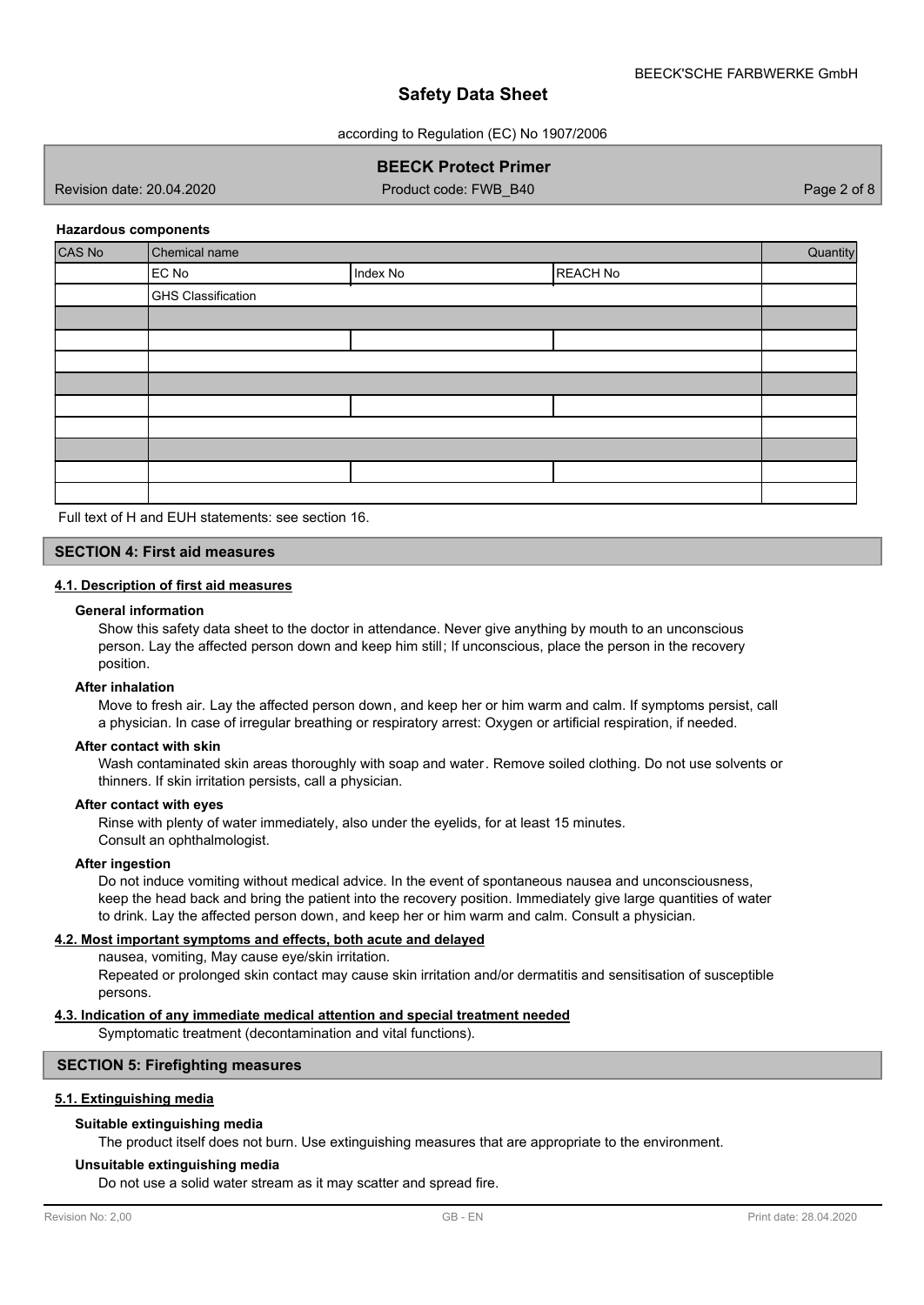according to Regulation (EC) No 1907/2006

# **BEECK Protect Primer**

Revision date: 20.04.2020 Product code: FWB\_B40 Page 2 of 8

#### **Hazardous components**

| CAS No | Chemical name             |          |          | Quantity |
|--------|---------------------------|----------|----------|----------|
|        | EC No                     | Index No | REACH No |          |
|        | <b>GHS Classification</b> |          |          |          |
|        |                           |          |          |          |
|        |                           |          |          |          |
|        |                           |          |          |          |
|        |                           |          |          |          |
|        |                           |          |          |          |
|        |                           |          |          |          |
|        |                           |          |          |          |
|        |                           |          |          |          |
|        |                           |          |          |          |

Full text of H and EUH statements: see section 16.

# **SECTION 4: First aid measures**

#### **4.1. Description of first aid measures**

#### **General information**

Show this safety data sheet to the doctor in attendance. Never give anything by mouth to an unconscious person. Lay the affected person down and keep him still; If unconscious, place the person in the recovery position.

#### **After inhalation**

Move to fresh air. Lay the affected person down, and keep her or him warm and calm. If symptoms persist, call a physician. In case of irregular breathing or respiratory arrest: Oxygen or artificial respiration, if needed.

## **After contact with skin**

Wash contaminated skin areas thoroughly with soap and water. Remove soiled clothing. Do not use solvents or thinners. If skin irritation persists, call a physician.

#### **After contact with eyes**

Rinse with plenty of water immediately, also under the eyelids, for at least 15 minutes. Consult an ophthalmologist.

#### **After ingestion**

Do not induce vomiting without medical advice. In the event of spontaneous nausea and unconsciousness, keep the head back and bring the patient into the recovery position. Immediately give large quantities of water to drink. Lay the affected person down, and keep her or him warm and calm. Consult a physician.

#### **4.2. Most important symptoms and effects, both acute and delayed**

nausea, vomiting, May cause eye/skin irritation.

Repeated or prolonged skin contact may cause skin irritation and/or dermatitis and sensitisation of susceptible persons.

## **4.3. Indication of any immediate medical attention and special treatment needed**

Symptomatic treatment (decontamination and vital functions).

## **SECTION 5: Firefighting measures**

## **5.1. Extinguishing media**

## **Suitable extinguishing media**

The product itself does not burn. Use extinguishing measures that are appropriate to the environment.

#### **Unsuitable extinguishing media**

Do not use a solid water stream as it may scatter and spread fire.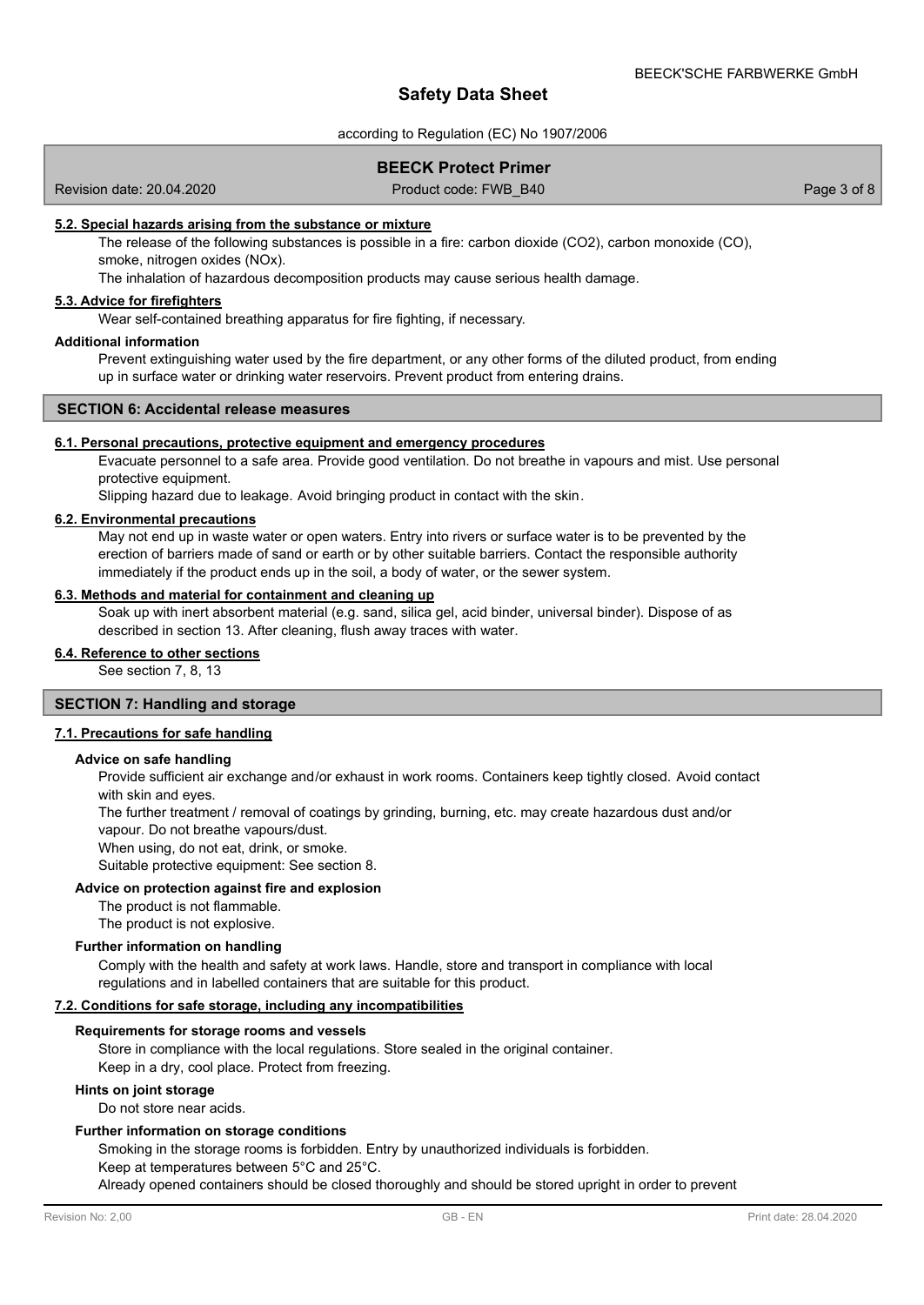#### according to Regulation (EC) No 1907/2006

## **BEECK Protect Primer**

Revision date: 20.04.2020

Product code: FWB\_B40 Page 3 of 8

#### **5.2. Special hazards arising from the substance or mixture**

The release of the following substances is possible in a fire: carbon dioxide (CO2), carbon monoxide (CO), smoke, nitrogen oxides (NOx).

The inhalation of hazardous decomposition products may cause serious health damage.

# **5.3. Advice for firefighters**

Wear self-contained breathing apparatus for fire fighting, if necessary.

### **Additional information**

Prevent extinguishing water used by the fire department, or any other forms of the diluted product, from ending up in surface water or drinking water reservoirs. Prevent product from entering drains.

## **SECTION 6: Accidental release measures**

#### **6.1. Personal precautions, protective equipment and emergency procedures**

Evacuate personnel to a safe area. Provide good ventilation. Do not breathe in vapours and mist. Use personal protective equipment.

Slipping hazard due to leakage. Avoid bringing product in contact with the skin.

## **6.2. Environmental precautions**

May not end up in waste water or open waters. Entry into rivers or surface water is to be prevented by the erection of barriers made of sand or earth or by other suitable barriers. Contact the responsible authority immediately if the product ends up in the soil, a body of water, or the sewer system.

## **6.3. Methods and material for containment and cleaning up**

Soak up with inert absorbent material (e.g. sand, silica gel, acid binder, universal binder). Dispose of as described in section 13. After cleaning, flush away traces with water.

# **6.4. Reference to other sections**

See section 7, 8, 13

## **SECTION 7: Handling and storage**

#### **7.1. Precautions for safe handling**

#### **Advice on safe handling**

Provide sufficient air exchange and/or exhaust in work rooms. Containers keep tightly closed. Avoid contact with skin and eyes.

The further treatment / removal of coatings by grinding, burning, etc. may create hazardous dust and/or vapour. Do not breathe vapours/dust.

When using, do not eat, drink, or smoke.

Suitable protective equipment: See section 8.

#### **Advice on protection against fire and explosion**

The product is not flammable.

The product is not explosive.

## **Further information on handling**

Comply with the health and safety at work laws. Handle, store and transport in compliance with local regulations and in labelled containers that are suitable for this product.

#### **7.2. Conditions for safe storage, including any incompatibilities**

#### **Requirements for storage rooms and vessels**

Store in compliance with the local regulations. Store sealed in the original container. Keep in a dry, cool place. Protect from freezing.

#### **Hints on joint storage**

Do not store near acids.

#### **Further information on storage conditions**

Smoking in the storage rooms is forbidden. Entry by unauthorized individuals is forbidden.

Keep at temperatures between 5°C and 25°C.

Already opened containers should be closed thoroughly and should be stored upright in order to prevent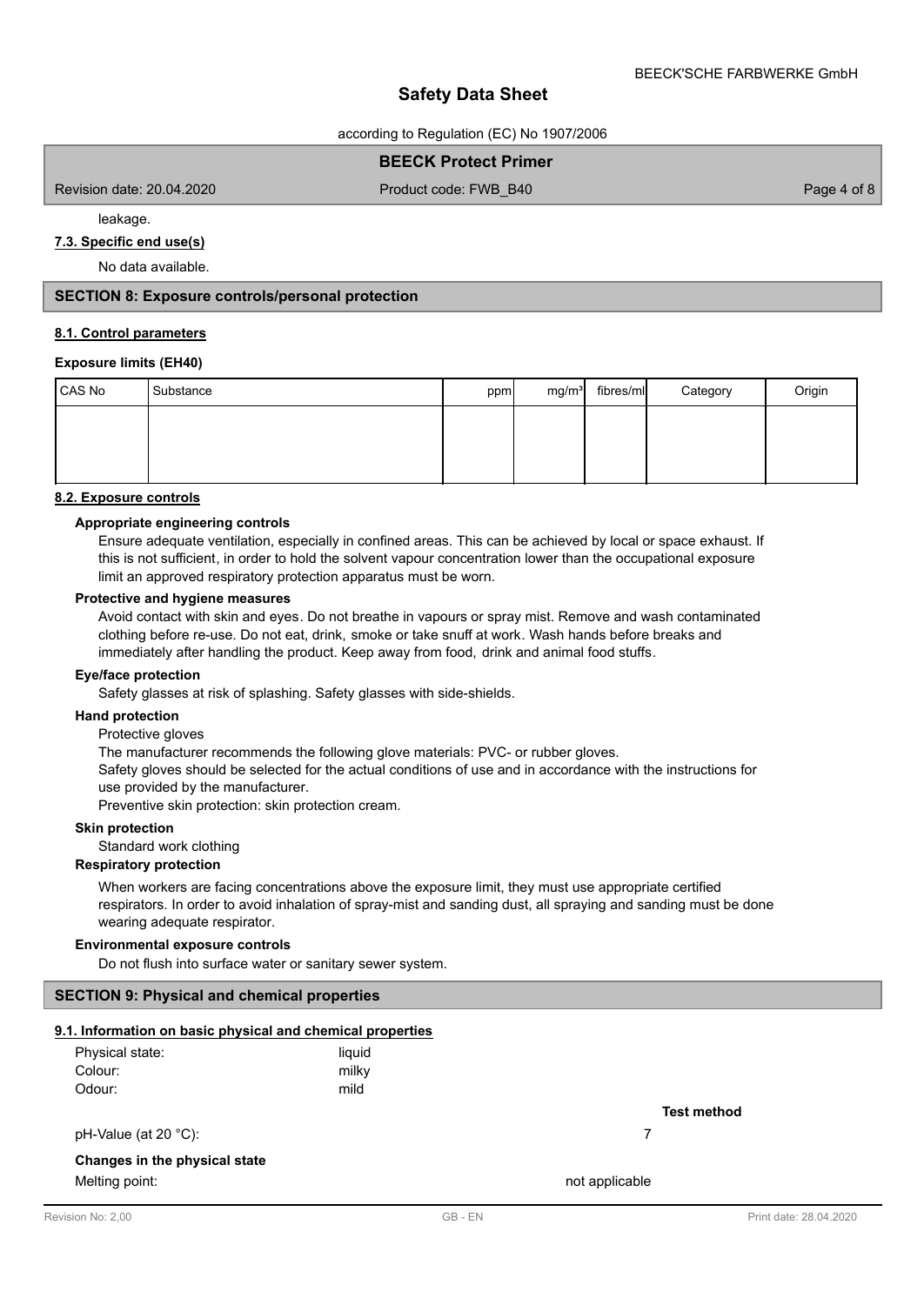according to Regulation (EC) No 1907/2006

# **BEECK Protect Primer**

Revision date: 20.04.2020

Product code: FWB\_B40 Page 4 of 8

leakage.

# **7.3. Specific end use(s)**

No data available.

## **SECTION 8: Exposure controls/personal protection**

#### **8.1. Control parameters**

## **Exposure limits (EH40)**

| CAS No | Substance | ppm | mg/m <sup>3</sup> | fibres/ml | Category | Origin |
|--------|-----------|-----|-------------------|-----------|----------|--------|
|        |           |     |                   |           |          |        |
|        |           |     |                   |           |          |        |
|        |           |     |                   |           |          |        |

#### **8.2. Exposure controls**

### **Appropriate engineering controls**

Ensure adequate ventilation, especially in confined areas. This can be achieved by local or space exhaust. If this is not sufficient, in order to hold the solvent vapour concentration lower than the occupational exposure limit an approved respiratory protection apparatus must be worn.

#### **Protective and hygiene measures**

Avoid contact with skin and eyes. Do not breathe in vapours or spray mist. Remove and wash contaminated clothing before re-use. Do not eat, drink, smoke or take snuff at work. Wash hands before breaks and immediately after handling the product. Keep away from food, drink and animal food stuffs.

#### **Eye/face protection**

Safety glasses at risk of splashing. Safety glasses with side-shields.

#### **Hand protection**

Protective gloves

The manufacturer recommends the following glove materials: PVC- or rubber gloves.

Safety gloves should be selected for the actual conditions of use and in accordance with the instructions for use provided by the manufacturer.

Preventive skin protection: skin protection cream.

## **Skin protection**

Standard work clothing

#### **Respiratory protection**

When workers are facing concentrations above the exposure limit, they must use appropriate certified respirators. In order to avoid inhalation of spray-mist and sanding dust, all spraying and sanding must be done wearing adequate respirator.

## **Environmental exposure controls**

Do not flush into surface water or sanitary sewer system.

### **SECTION 9: Physical and chemical properties**

## **9.1. Information on basic physical and chemical properties**

| Physical state: | liquid |
|-----------------|--------|
| Colour:         | milky  |
| Odour:          | mild   |

pH-Value (at 20 °C): 7

### **Changes in the physical state**

Melting point: not applicable that the matrix of the matrix  $\sim$  not applicable

**Test method**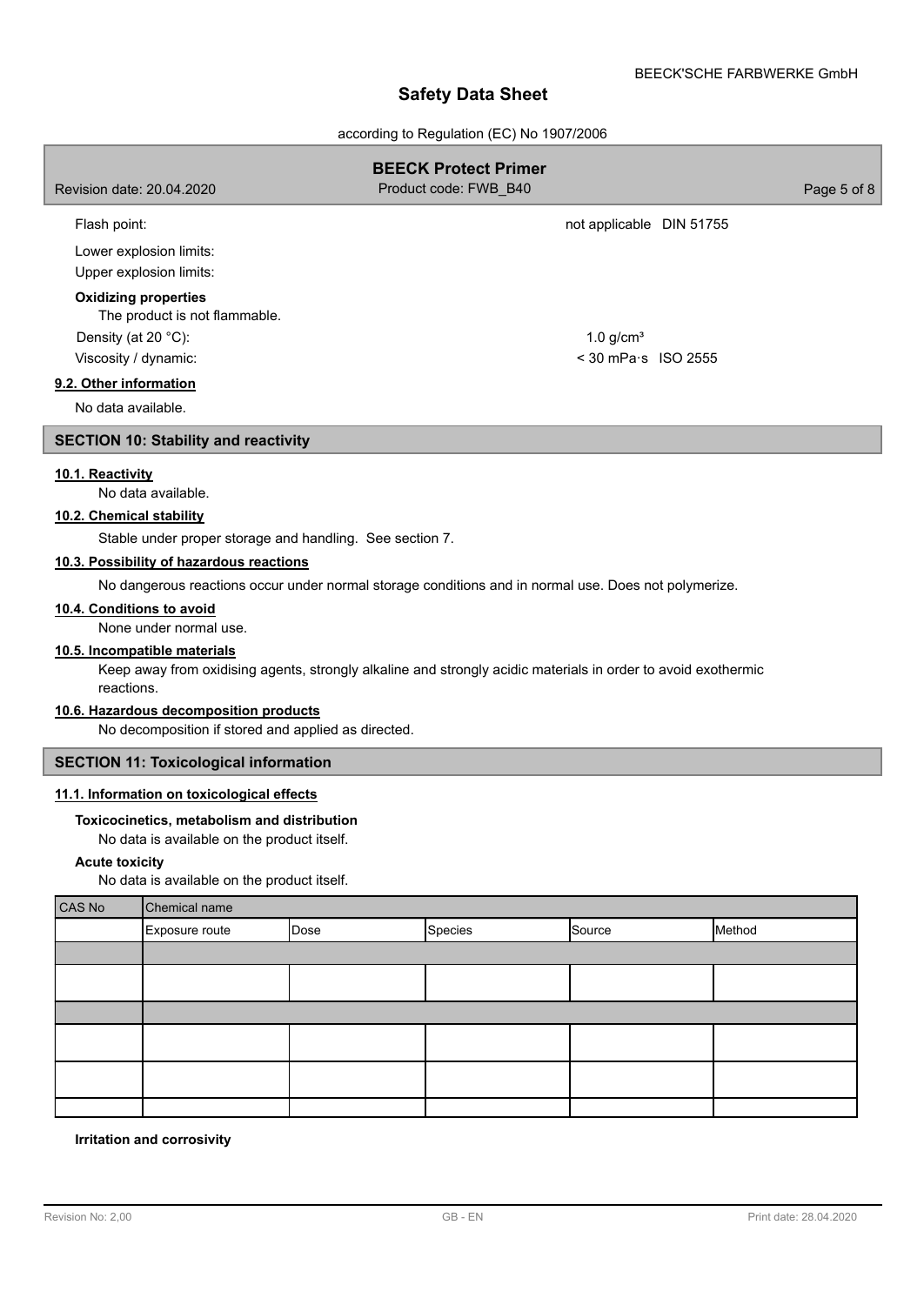according to Regulation (EC) No 1907/2006

| Revision date: 20.04.2020                                                                   |                                                                                                                                                                                                                                                                                                                                                                                                                                                                                                                                                                |      | <b>BEECK Protect Primer</b><br>Product code: FWB_B40 |                                                | Page 5 of 8 |
|---------------------------------------------------------------------------------------------|----------------------------------------------------------------------------------------------------------------------------------------------------------------------------------------------------------------------------------------------------------------------------------------------------------------------------------------------------------------------------------------------------------------------------------------------------------------------------------------------------------------------------------------------------------------|------|------------------------------------------------------|------------------------------------------------|-------------|
| Flash point:                                                                                |                                                                                                                                                                                                                                                                                                                                                                                                                                                                                                                                                                |      |                                                      | not applicable DIN 51755                       |             |
|                                                                                             | Lower explosion limits:<br>Upper explosion limits:                                                                                                                                                                                                                                                                                                                                                                                                                                                                                                             |      |                                                      |                                                |             |
| Density (at 20 °C):<br>Viscosity / dynamic:<br>9.2. Other information<br>No data available. | <b>Oxidizing properties</b><br>The product is not flammable.                                                                                                                                                                                                                                                                                                                                                                                                                                                                                                   |      |                                                      | $1.0$ g/cm <sup>3</sup><br>< 30 mPa·s ISO 2555 |             |
|                                                                                             | <b>SECTION 10: Stability and reactivity</b>                                                                                                                                                                                                                                                                                                                                                                                                                                                                                                                    |      |                                                      |                                                |             |
| 10.1. Reactivity<br>10.2. Chemical stability<br>10.4. Conditions to avoid<br>reactions.     | No data available.<br>Stable under proper storage and handling. See section 7.<br>10.3. Possibility of hazardous reactions<br>No dangerous reactions occur under normal storage conditions and in normal use. Does not polymerize.<br>None under normal use.<br>10.5. Incompatible materials<br>Keep away from oxidising agents, strongly alkaline and strongly acidic materials in order to avoid exothermic<br>10.6. Hazardous decomposition products<br>No decomposition if stored and applied as directed.<br><b>SECTION 11: Toxicological information</b> |      |                                                      |                                                |             |
| <b>Acute toxicity</b>                                                                       | 11.1. Information on toxicological effects<br>Toxicocinetics, metabolism and distribution<br>No data is available on the product itself.<br>No data is available on the product itself.                                                                                                                                                                                                                                                                                                                                                                        |      |                                                      |                                                |             |
| <b>CAS No</b>                                                                               | Chemical name                                                                                                                                                                                                                                                                                                                                                                                                                                                                                                                                                  |      |                                                      |                                                |             |
|                                                                                             | Exposure route                                                                                                                                                                                                                                                                                                                                                                                                                                                                                                                                                 | Dose | Species                                              | Source                                         | Method      |
|                                                                                             |                                                                                                                                                                                                                                                                                                                                                                                                                                                                                                                                                                |      |                                                      |                                                |             |
|                                                                                             |                                                                                                                                                                                                                                                                                                                                                                                                                                                                                                                                                                |      |                                                      |                                                |             |
|                                                                                             |                                                                                                                                                                                                                                                                                                                                                                                                                                                                                                                                                                |      |                                                      |                                                |             |
|                                                                                             |                                                                                                                                                                                                                                                                                                                                                                                                                                                                                                                                                                |      |                                                      |                                                |             |

# **Irritation and corrosivity**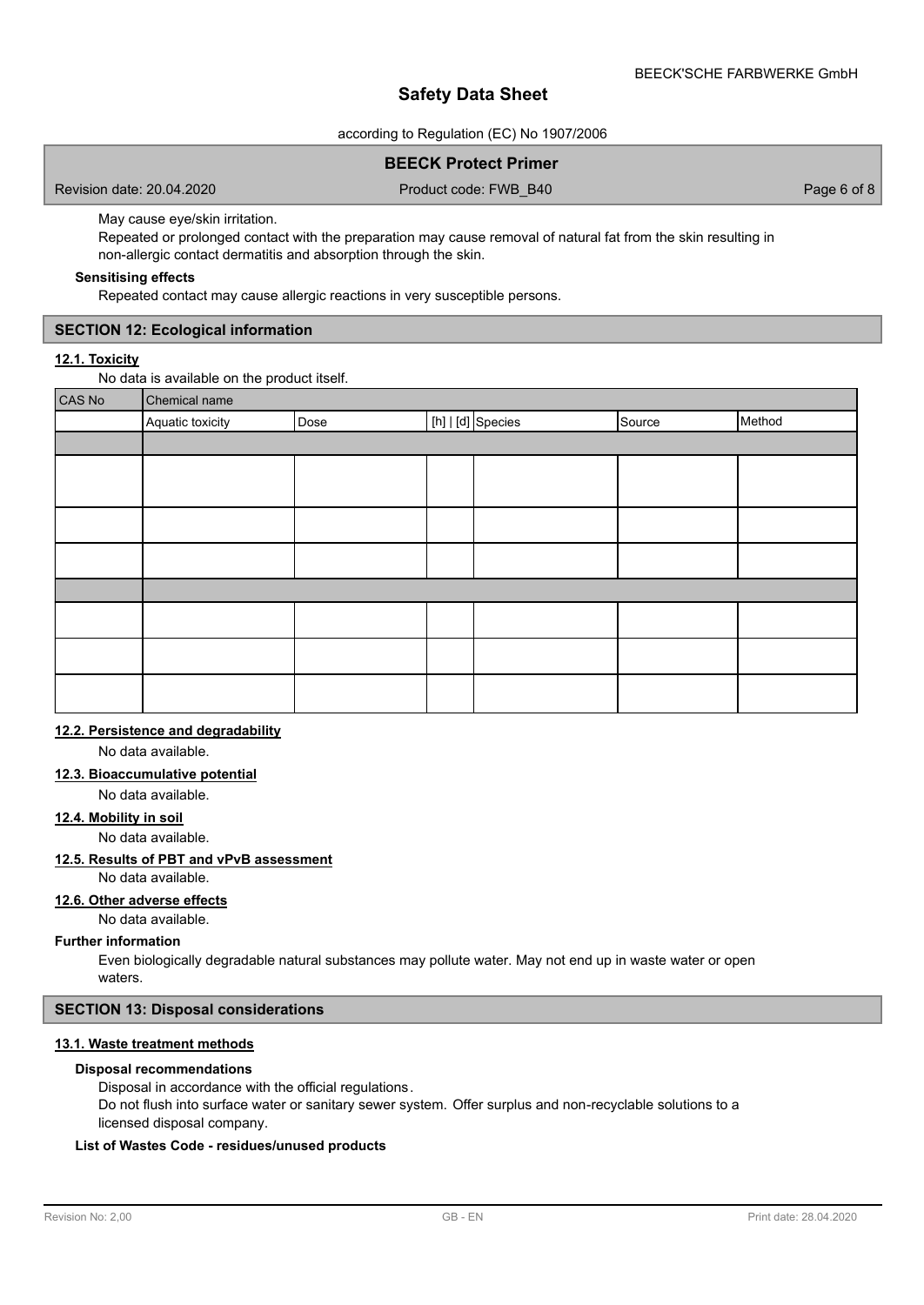according to Regulation (EC) No 1907/2006

# **BEECK Protect Primer**

Revision date: 20.04.2020

Product code: FWB\_B40 Page 6 of 8

May cause eye/skin irritation.

Repeated or prolonged contact with the preparation may cause removal of natural fat from the skin resulting in non-allergic contact dermatitis and absorption through the skin.

## **Sensitising effects**

Repeated contact may cause allergic reactions in very susceptible persons.

## **SECTION 12: Ecological information**

## **12.1. Toxicity**

No data is available on the product itself.

| CAS No | Chemical name    |      |  |                   |        |        |
|--------|------------------|------|--|-------------------|--------|--------|
|        | Aquatic toxicity | Dose |  | [h]   [d] Species | Source | Method |
|        |                  |      |  |                   |        |        |
|        |                  |      |  |                   |        |        |
|        |                  |      |  |                   |        |        |
|        |                  |      |  |                   |        |        |
|        |                  |      |  |                   |        |        |
|        |                  |      |  |                   |        |        |
|        |                  |      |  |                   |        |        |
|        |                  |      |  |                   |        |        |
|        |                  |      |  |                   |        |        |

# **12.2. Persistence and degradability**

No data available.

### **12.3. Bioaccumulative potential**

No data available.

# **12.4. Mobility in soil**

No data available.

#### **12.5. Results of PBT and vPvB assessment**

No data available.

# **12.6. Other adverse effects**

No data available.

#### **Further information**

Even biologically degradable natural substances may pollute water. May not end up in waste water or open waters.

### **SECTION 13: Disposal considerations**

# **13.1. Waste treatment methods**

## **Disposal recommendations**

Disposal in accordance with the official regulations.

Do not flush into surface water or sanitary sewer system. Offer surplus and non-recyclable solutions to a licensed disposal company.

## **List of Wastes Code - residues/unused products**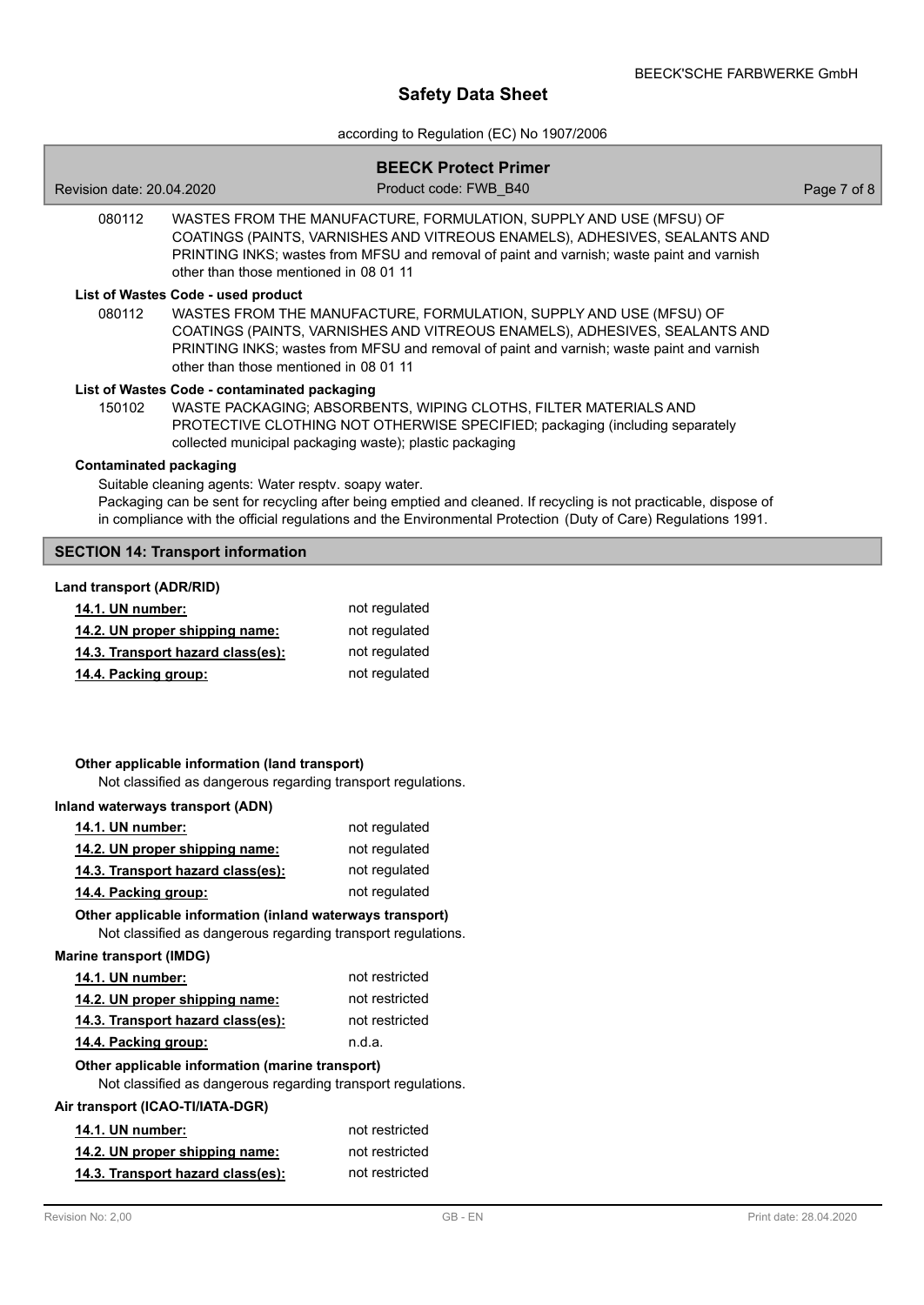according to Regulation (EC) No 1907/2006

| Revision date: 20.04.2020                                                                                       | <b>BEECK Protect Primer</b><br>Product code: FWB B40                                                                                                                                                                                          | Page 7 of 8 |
|-----------------------------------------------------------------------------------------------------------------|-----------------------------------------------------------------------------------------------------------------------------------------------------------------------------------------------------------------------------------------------|-------------|
| 080112<br>other than those mentioned in 08 01 11                                                                | WASTES FROM THE MANUFACTURE, FORMULATION, SUPPLY AND USE (MFSU) OF<br>COATINGS (PAINTS, VARNISHES AND VITREOUS ENAMELS), ADHESIVES, SEALANTS AND<br>PRINTING INKS; wastes from MFSU and removal of paint and varnish; waste paint and varnish |             |
| List of Wastes Code - used product<br>080112<br>other than those mentioned in 08 01 11                          | WASTES FROM THE MANUFACTURE, FORMULATION, SUPPLY AND USE (MFSU) OF<br>COATINGS (PAINTS, VARNISHES AND VITREOUS ENAMELS), ADHESIVES, SEALANTS AND<br>PRINTING INKS; wastes from MFSU and removal of paint and varnish; waste paint and varnish |             |
| List of Wastes Code - contaminated packaging<br>150102                                                          | WASTE PACKAGING; ABSORBENTS, WIPING CLOTHS, FILTER MATERIALS AND<br>PROTECTIVE CLOTHING NOT OTHERWISE SPECIFIED; packaging (including separately<br>collected municipal packaging waste); plastic packaging                                   |             |
| <b>Contaminated packaging</b><br>Suitable cleaning agents: Water resptv. soapy water.                           | Packaging can be sent for recycling after being emptied and cleaned. If recycling is not practicable, dispose of<br>in compliance with the official regulations and the Environmental Protection (Duty of Care) Regulations 1991.             |             |
| <b>SECTION 14: Transport information</b>                                                                        |                                                                                                                                                                                                                                               |             |
| Land transport (ADR/RID)<br>14.1. UN number:                                                                    | not regulated                                                                                                                                                                                                                                 |             |
| 14.2. UN proper shipping name:                                                                                  | not regulated                                                                                                                                                                                                                                 |             |
| 14.3. Transport hazard class(es):                                                                               | not regulated                                                                                                                                                                                                                                 |             |
| 14.4. Packing group:                                                                                            | not regulated                                                                                                                                                                                                                                 |             |
| Other applicable information (land transport)<br>Not classified as dangerous regarding transport regulations.   |                                                                                                                                                                                                                                               |             |
| Inland waterways transport (ADN)                                                                                |                                                                                                                                                                                                                                               |             |
| 14.1. UN number:                                                                                                | not regulated                                                                                                                                                                                                                                 |             |
| 14.2. UN proper shipping name:<br>14.3. Transport hazard class(es):                                             | not regulated<br>not regulated                                                                                                                                                                                                                |             |
| 14.4. Packing group:                                                                                            | not regulated                                                                                                                                                                                                                                 |             |
| Other applicable information (inland waterways transport)                                                       |                                                                                                                                                                                                                                               |             |
| Not classified as dangerous regarding transport regulations.                                                    |                                                                                                                                                                                                                                               |             |
| <b>Marine transport (IMDG)</b>                                                                                  |                                                                                                                                                                                                                                               |             |
| 14.1. UN number:                                                                                                | not restricted                                                                                                                                                                                                                                |             |
| 14.2. UN proper shipping name:                                                                                  | not restricted                                                                                                                                                                                                                                |             |
| 14.3. Transport hazard class(es):                                                                               | not restricted                                                                                                                                                                                                                                |             |
| 14.4. Packing group:                                                                                            | n.d.a.                                                                                                                                                                                                                                        |             |
| Other applicable information (marine transport)<br>Not classified as dangerous regarding transport regulations. |                                                                                                                                                                                                                                               |             |
| Air transport (ICAO-TI/IATA-DGR)                                                                                |                                                                                                                                                                                                                                               |             |
| 14.1. UN number:                                                                                                | not restricted                                                                                                                                                                                                                                |             |
| 14.2. UN proper shipping name:                                                                                  | not restricted                                                                                                                                                                                                                                |             |
| 14.3. Transport hazard class(es):                                                                               | not restricted                                                                                                                                                                                                                                |             |